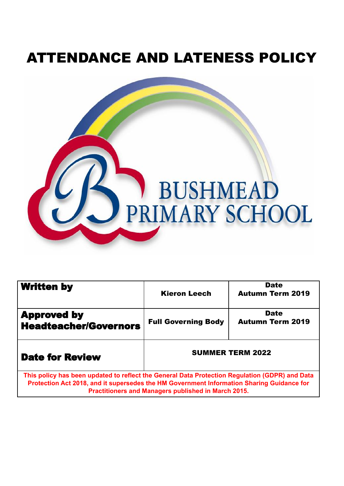# ATTENDANCE AND LATENESS POLICY



| <b>Written by</b>                                                                                                                                                                           | <b>Kieron Leech</b>                                 | <b>Date</b><br><b>Autumn Term 2019</b> |
|---------------------------------------------------------------------------------------------------------------------------------------------------------------------------------------------|-----------------------------------------------------|----------------------------------------|
| <b>Approved by</b><br><b>Headteacher/Governors</b>                                                                                                                                          | <b>Full Governing Body</b>                          | <b>Date</b><br><b>Autumn Term 2019</b> |
| <b>Date for Review</b>                                                                                                                                                                      | <b>SUMMER TERM 2022</b>                             |                                        |
| This policy has been updated to reflect the General Data Protection Regulation (GDPR) and Data<br>Protection Act 2018, and it supersedes the HM Government Information Sharing Guidance for | Practitioners and Managers published in March 2015. |                                        |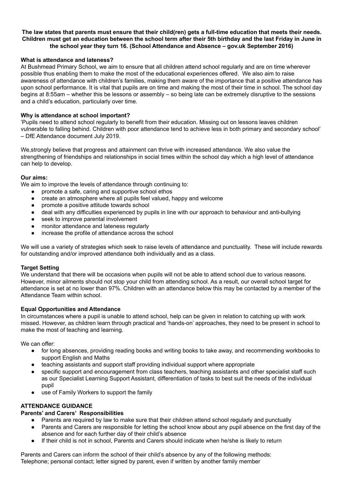#### The law states that parents must ensure that their child(ren) gets a full-time education that meets their needs. Children must get an education between the school term after their 5th birthday and the last Friday in June in **the school year they turn 16. (School Attendance and Absence – gov.uk September 2016)**

#### **What is attendance and lateness?**

At Bushmead Primary School, we aim to ensure that all children attend school regularly and are on time wherever possible thus enabling them to make the most of the educational experiences offered. We also aim to raise awareness of attendance with children's families, making them aware of the importance that a positive attendance has upon school performance. It is vital that pupils are on time and making the most of their time in school. The school day begins at 8:55am – whether this be lessons or assembly – so being late can be extremely disruptive to the sessions and a child's education, particularly over time.

#### **Why is attendance at school important?**

'Pupils need to attend school regularly to benefit from their education. Missing out on lessons leaves children vulnerable to falling behind. Children with poor attendance tend to achieve less in both primary and secondary school' – DfE Attendance document July 2019.

We,strongly believe that progress and attainment can thrive with increased attendance. We also value the strengthening of friendships and relationships in social times within the school day which a high level of attendance can help to develop.

## **Our aims:**

We aim to improve the levels of attendance through continuing to:

- promote a safe, caring and supportive school ethos
- create an atmosphere where all pupils feel valued, happy and welcome
- promote a positive attitude towards school
- deal with any difficulties experienced by pupils in line with our approach to behaviour and anti-bullying
- seek to improve parental involvement
- monitor attendance and lateness regularly
- increase the profile of attendance across the school

We will use a variety of strategies which seek to raise levels of attendance and punctuality. These will include rewards for outstanding and/or improved attendance both individually and as a class.

#### **Target Setting**

We understand that there will be occasions when pupils will not be able to attend school due to various reasons. However, minor ailments should not stop your child from attending school. As a result, our overall school target for attendance is set at no lower than 97%. Children with an attendance below this may be contacted by a member of the Attendance Team within school.

## **Equal Opportunities and Attendance**

In circumstances where a pupil is unable to attend school, help can be given in relation to catching up with work missed. However, as children learn through practical and 'hands-on' approaches, they need to be present in school to make the most of teaching and learning.

We can offer:

- for long absences, providing reading books and writing books to take away, and recommending workbooks to support English and Maths
- teaching assistants and support staff providing individual support where appropriate
- specific support and encouragement from class teachers, teaching assistants and other specialist staff such as our Specialist Learning Support Assistant, differentiation of tasks to best suit the needs of the individual pupil
- use of Family Workers to support the family

## **ATTENDANCE GUIDANCE**

## **Parents' and Carers' Responsibilities**

- Parents are required by law to make sure that their children attend school regularly and punctually
- Parents and Carers are responsible for letting the school know about any pupil absence on the first day of the absence and for each further day of their child's absence
- If their child is not in school, Parents and Carers should indicate when he/she is likely to return

Parents and Carers can inform the school of their child's absence by any of the following methods: Telephone; personal contact; letter signed by parent, even if written by another family member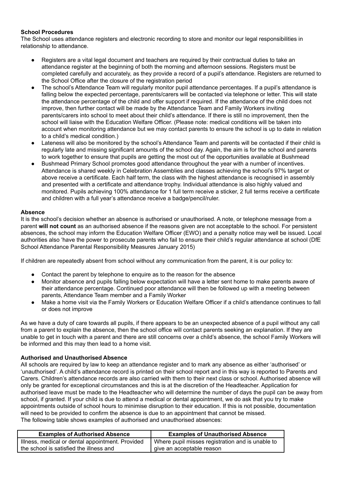## **School Procedures**

The School uses attendance registers and electronic recording to store and monitor our legal responsibilities in relationship to attendance.

- Registers are a vital legal document and teachers are required by their contractual duties to take an attendance register at the beginning of both the morning and afternoon sessions. Registers must be completed carefully and accurately, as they provide a record of a pupil's attendance. Registers are returned to the School Office after the closure of the registration period
- The school's Attendance Team will regularly monitor pupil attendance percentages. If a pupil's attendance is falling below the expected percentage, parents/carers will be contacted via telephone or letter. This will state the attendance percentage of the child and offer support if required. If the attendance of the child does not improve, then further contact will be made by the Attendance Team and Family Workers inviting parents/carers into school to meet about their child's attendance. If there is still no improvement, then the school will liaise with the Education Welfare Officer. (Please note: medical conditions will be taken into account when monitoring attendance but we may contact parents to ensure the school is up to date in relation to a child's medical condition.)
- Lateness will also be monitored by the school's Attendance Team and parents will be contacted if their child is regularly late and missing significant amounts of the school day. Again, the aim is for the school and parents to work together to ensure that pupils are getting the most out of the opportunities available at Bushmead
- Bushmead Primary School promotes good attendance throughout the year with a number of incentives. Attendance is shared weekly in Celebration Assemblies and classes achieving the school's 97% target or above receive a certificate. Each half term, the class with the highest attendance is recognised in assembly and presented with a certificate and attendance trophy. Individual attendance is also highly valued and monitored. Pupils achieving 100% attendance for 1 full term receive a sticker, 2 full terms receive a certificate and children with a full year's attendance receive a badge/pencil/ruler.

## **Absence**

It is the school's decision whether an absence is authorised or unauthorised. A note, or telephone message from a parent **will not count** as an authorised absence if the reasons given are not acceptable to the school. For persistent absences, the school may inform the Education Welfare Officer (EWO) and a penalty notice may well be issued. Local authorities also 'have the power to prosecute parents who fail to ensure their child's regular attendance at school (DfE School Attendance Parental Responsibility Measures January 2015)

If children are repeatedly absent from school without any communication from the parent, it is our policy to:

- Contact the parent by telephone to enquire as to the reason for the absence
- Monitor absence and pupils falling below expectation will have a letter sent home to make parents aware of their attendance percentage. Continued poor attendance will then be followed up with a meeting between parents, Attendance Team member and a Family Worker
- Make a home visit via the Family Workers or Education Welfare Officer if a child's attendance continues to fall or does not improve

As we have a duty of care towards all pupils, if there appears to be an unexpected absence of a pupil without any call from a parent to explain the absence, then the school office will contact parents seeking an explanation. If they are unable to get in touch with a parent and there are still concerns over a child's absence, the school Family Workers will be informed and this may then lead to a home visit.

## **Authorised and Unauthorised Absence**

All schools are required by law to keep an attendance register and to mark any absence as either 'authorised' or 'unauthorised'. A child's attendance record is printed on their school report and in this way is reported to Parents and Carers. Children's attendance records are also carried with them to their next class or school. Authorised absence will only be granted for exceptional circumstances and this is at the discretion of the Headteacher. Application for authorised leave must be made to the Headteacher who will determine the number of days the pupil can be away from school, if granted. If your child is due to attend a medical or dental appointment, we do ask that you try to make appointments outside of school hours to minimise disruption to their education. If this is not possible, documentation will need to be provided to confirm the absence is due to an appointment that cannot be missed. The following table shows examples of authorised and unauthorised absences:

| <b>Examples of Authorised Absence</b>            | <b>Examples of Unauthorised Absence</b>          |
|--------------------------------------------------|--------------------------------------------------|
| Illness, medical or dental appointment. Provided | Where pupil misses registration and is unable to |
| the school is satisfied the illness and          | give an acceptable reason                        |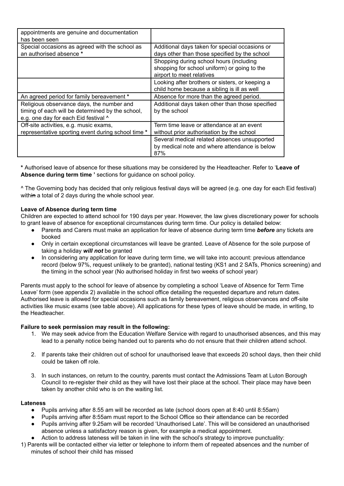| appointments are genuine and documentation<br>has been seen                                                                           |                                                                                                                      |
|---------------------------------------------------------------------------------------------------------------------------------------|----------------------------------------------------------------------------------------------------------------------|
| Special occasions as agreed with the school as<br>an authorised absence *                                                             | Additional days taken for special occasions or<br>days other than those specified by the school                      |
|                                                                                                                                       | Shopping during school hours (including<br>shopping for school uniform) or going to the<br>airport to meet relatives |
|                                                                                                                                       | Looking after brothers or sisters, or keeping a<br>child home because a sibling is ill as well                       |
| An agreed period for family bereavement *                                                                                             | Absence for more than the agreed period.                                                                             |
| Religious observance days, the number and<br>timing of each will be determined by the school,<br>e.g. one day for each Eid festival ^ | Additional days taken other than those specified<br>by the school                                                    |
| Off-site activities, e.g. music exams,<br>representative sporting event during school time *                                          | Term time leave or attendance at an event<br>without prior authorisation by the school                               |
|                                                                                                                                       | Several medical related absences unsupported<br>by medical note and where attendance is below<br>87%                 |

**\*** Authorised leave of absence for these situations may be considered by the Headteacher. Refer to '**Leave of Absence during term time '** sections for guidance on school policy.

^ The Governing body has decided that only religious festival days will be agreed (e.g. one day for each Eid festival) within a total of 2 days during the whole school year.

## **Leave of Absence during term time**

Children are expected to attend school for 190 days per year. However, the law gives discretionary power for schools to grant leave of absence for exceptional circumstances during term time. Our policy is detailed below:

- Parents and Carers must make an application for leave of absence during term time *before* any tickets are booked
- Only in certain exceptional circumstances will leave be granted. Leave of Absence for the sole purpose of taking a holiday *will not* be granted
- In considering any application for leave during term time, we will take into account: previous attendance record (below 97%, request unlikely to be granted), national testing (KS1 and 2 SATs, Phonics screening) and the timing in the school year (No authorised holiday in first two weeks of school year)

Parents must apply to the school for leave of absence by completing a school 'Leave of Absence for Term Time Leave' form (see appendix 2) available in the school office detailing the requested departure and return dates. Authorised leave is allowed for special occasions such as family bereavement, religious observances and off-site activities like music exams (see table above). All applications for these types of leave should be made, in writing, to the Headteacher.

#### **Failure to seek permission may result in the following:**

- 1. We may seek advice from the Education Welfare Service with regard to unauthorised absences, and this may lead to a penalty notice being handed out to parents who do not ensure that their children attend school.
- 2. If parents take their children out of school for unauthorised leave that exceeds 20 school days, then their child could be taken off role.
- 3. In such instances, on return to the country, parents must contact the Admissions Team at Luton Borough Council to re-register their child as they will have lost their place at the school. Their place may have been taken by another child who is on the waiting list.

#### **Lateness**

- Pupils arriving after 8.55 am will be recorded as late (school doors open at 8:40 until 8:55am)
- Pupils arriving after 8:55am must report to the School Office so their attendance can be recorded
- Pupils arriving after 9.25am will be recorded 'Unauthorised Late'. This will be considered an unauthorised absence unless a satisfactory reason is given, for example a medical appointment.
- Action to address lateness will be taken in line with the school's strategy to improve punctuality:
- 1) Parents will be contacted either via letter or telephone to inform them of repeated absences and the number of minutes of school their child has missed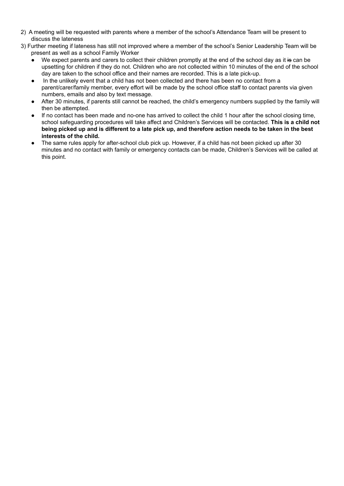- 2) A meeting will be requested with parents where a member of the school's Attendance Team will be present to discuss the lateness
- 3) Further meeting if lateness has still not improved where a member of the school's Senior Leadership Team will be present as well as a school Family Worker
	- We expect parents and carers to collect their children promptly at the end of the school day as it is can be upsetting for children if they do not. Children who are not collected within 10 minutes of the end of the school day are taken to the school office and their names are recorded. This is a late pick-up.
	- In the unlikely event that a child has not been collected and there has been no contact from a parent/carer/family member, every effort will be made by the school office staff to contact parents via given numbers, emails and also by text message.
	- After 30 minutes, if parents still cannot be reached, the child's emergency numbers supplied by the family will then be attempted.
	- If no contact has been made and no-one has arrived to collect the child 1 hour after the school closing time, school safeguarding procedures will take affect and Children's Services will be contacted. **This is a child not** being picked up and is different to a late pick up, and therefore action needs to be taken in the best **interests of the child.**
	- The same rules apply for after-school club pick up. However, if a child has not been picked up after 30 minutes and no contact with family or emergency contacts can be made, Children's Services will be called at this point.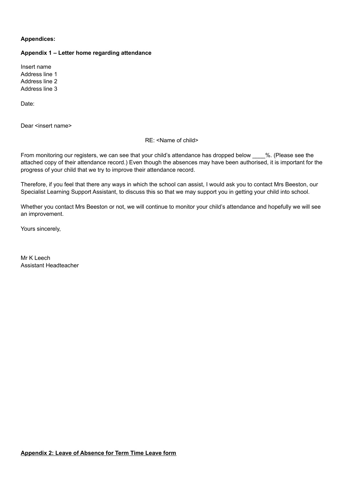## **Appendices:**

#### **Appendix 1 – Letter home regarding attendance**

Insert name Address line 1 Address line 2 Address line 3

Date:

Dear <insert name>

RE: <Name of child>

From monitoring our registers, we can see that your child's attendance has dropped below  $\%$ . (Please see the attached copy of their attendance record.) Even though the absences may have been authorised, it is important for the progress of your child that we try to improve their attendance record.

Therefore, if you feel that there any ways in which the school can assist, I would ask you to contact Mrs Beeston, our Specialist Learning Support Assistant, to discuss this so that we may support you in getting your child into school.

Whether you contact Mrs Beeston or not, we will continue to monitor your child's attendance and hopefully we will see an improvement.

Yours sincerely,

Mr K Leech Assistant Headteacher